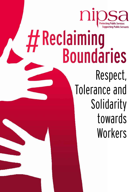

## **Boundaries** Respect, Tolerance and Solidarity towards **Workers #Reclaiming**